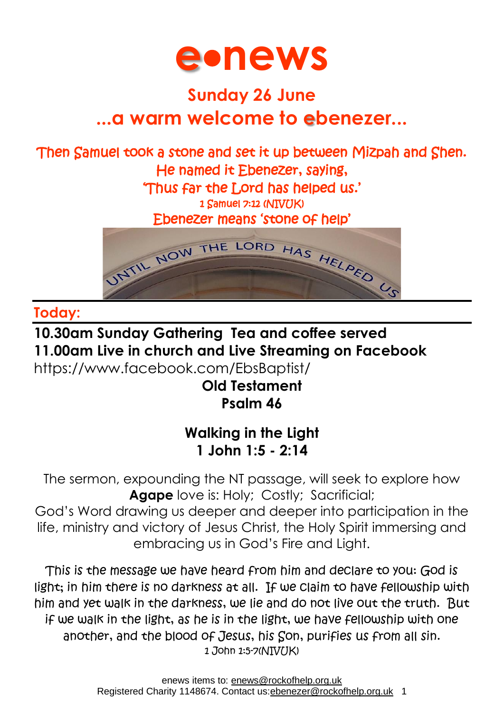

# **Sunday 26 June ...a warm welcome to ebenezer...**

# Then Samuel took a stone and set it up between Mizpah and Shen. He named it Ebenezer, saying, 'Thus far the Lord has helped us.'

1 Samuel 7:12 (NIVUK)

Ebenezer means 'stone of help'



#### **Today:**

# **10.30am Sunday Gathering Tea and coffee served 11.00am Live in church and Live Streaming on Facebook**

<https://www.facebook.com/EbsBaptist/>

# **Old Testament Psalm 46**

# **Walking in the Light 1 John 1:5 - 2:14**

The sermon, expounding the NT passage, will seek to explore how **Agape** love is: Holy; Costly; Sacrificial;

God's Word drawing us deeper and deeper into participation in the life, ministry and victory of Jesus Christ, the Holy Spirit immersing and embracing us in God's Fire and Light.

This is the message we have heard from him and declare to you: God is light; in him there is no darkness at all. If we claim to have fellowship with him and yet walk in the darkness, we lie and do not live out the truth. But if we walk in the light, as he is in the light, we have fellowship with one another, and the blood of Jesus, his Son, purifies us from all sin. 1 John 1:5-7(NIV(JK)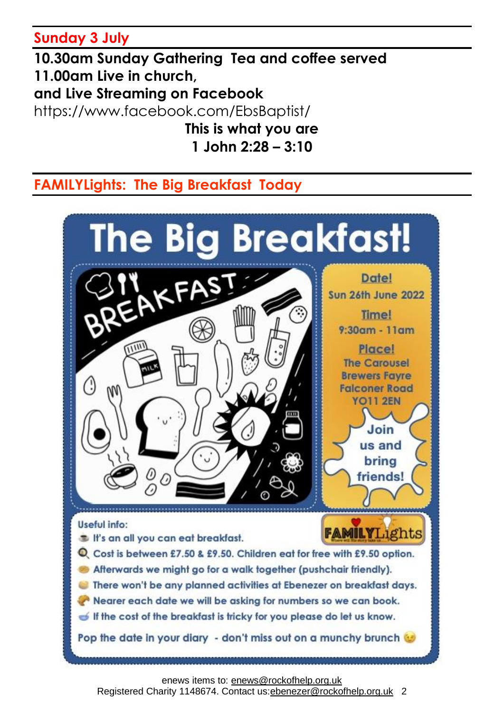#### **Sunday 3 July**

**10.30am Sunday Gathering Tea and coffee served 11.00am Live in church, and Live Streaming on Facebook** <https://www.facebook.com/EbsBaptist/> **This is what you are 1 John 2:28 – 3:10**

# **FAMILYLights: The Big Breakfast Today**



Registered Charity 1148674. Contact us: ebenezer@rockofhelp.org.uk 2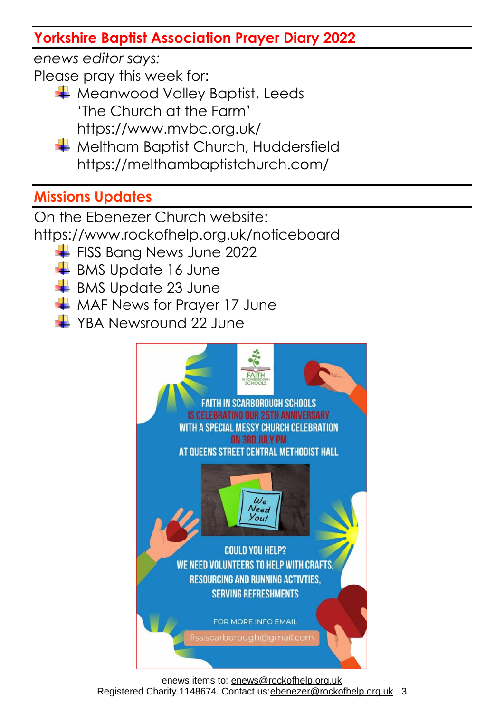# **Yorkshire Baptist Association Prayer Diary 2022**

*enews editor says:*

Please pray this week for:

- **Weanwood Valley Baptist, Leeds** 'The Church at the Farm' https://www.mvbc.org.uk/
- **Weltham Baptist Church, Huddersfield** https://melthambaptistchurch.com/

# **Missions Updates**

On the Ebenezer Church website:

<https://www.rockofhelp.org.uk/noticeboard>

- FISS Bang News June 2022
- $\overline{\phantom{a}}$  BMS Update 16 June
- $\overline{\phantom{a}}$  BMS Update 23 June
- $\frac{1}{2}$  MAF News for Prayer 17 June
- **→ YBA Newsround 22 June**

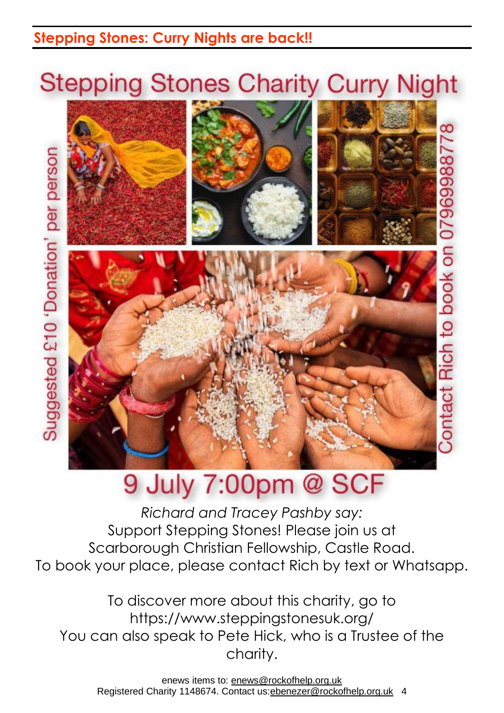# **Stepping Stones: Curry Nights are back!!**

Suggested £10 'Donation' per person

# **Stepping Stones Charity Curry Night**

ă

079699887



# 9 July 7:00pm @ SCF

*Richard and Tracey Pashby say:* Support Stepping Stones! Please join us at Scarborough Christian Fellowship, Castle Road. To book your place, please contact Rich by text or Whatsapp.

To discover more about this charity, go to <https://www.steppingstonesuk.org/> You can also speak to Pete Hick, who is a Trustee of the charity.

enews items to: [enews@rockofhelp.org.uk](mailto:enews@rockofhelp.org.uk) Registered Charity 1148674. Contact us: ebenezer@rockofhelp.org.uk 4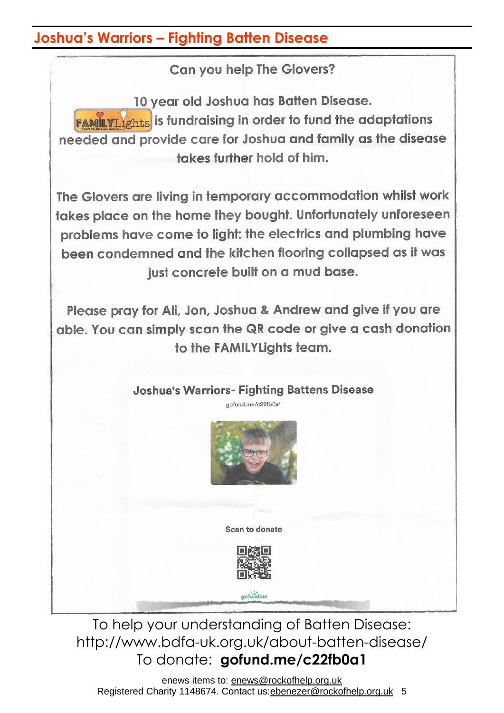#### **Joshua's Warriors – Fighting Batten Disease**

Can you help The Glovers?

10 year old Joshua has Batten Disease. **FAMILYLIghts** is fundraising in order to fund the adaptations needed and provide care for Joshua and family as the disease takes further hold of him.

The Glovers are living in temporary accommodation whilst work takes place on the home they bought. Unfortunately unforeseen problems have come to light; the electrics and plumbing have been condemned and the kitchen flooring collapsed as it was just concrete built on a mud base.

Please pray for Ali, Jon, Joshua & Andrew and give if you are able. You can simply scan the QR code or give a cash donation to the FAMILYLights team.

#### **Joshua's Warriors- Fighting Battens Disease** aofund.me/c22fb0a1



Scan to donate



gofundme

To help your understanding of Batten Disease: <http://www.bdfa-uk.org.uk/about-batten-disease/> To donate: **gofund.me/c22fb0a1**

enews items to: [enews@rockofhelp.org.uk](mailto:enews@rockofhelp.org.uk) Registered Charity 1148674. Contact us: ebenezer@rockofhelp.org.uk 5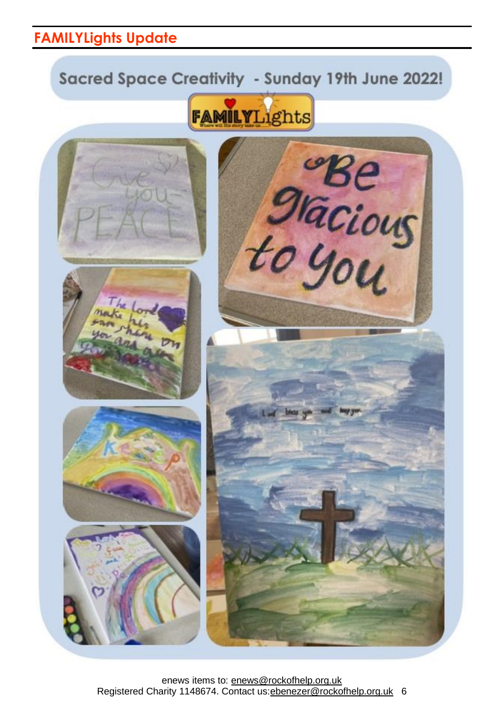### **FAMILYLights Update**

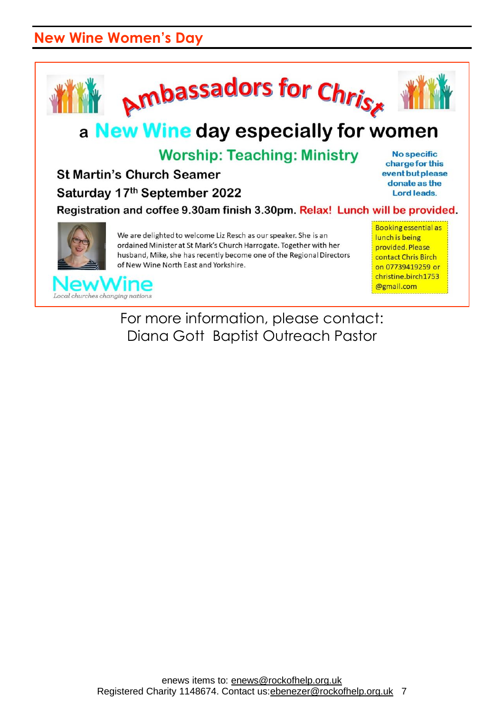### **New Wine Women's Day**



For more information, please contact: Diana Gott Baptist Outreach Pastor